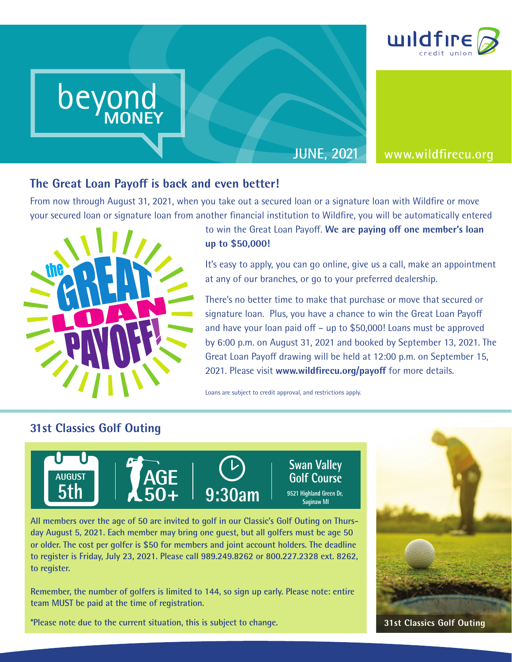

**JUNE, 2021 www.wildfirecu.org**

**MONEY**

**The Great Loan Payoff is back and even better!**<br>From now through August 31, 2021, when you take out a secur<br>your secured loan or signature loan from another financial insti From now through August 31, 2021, when you take out a secured loan or a signature loan with Wildfire or move your secured loan or signature loan from another financial institution to Wildfire, you will be automatically entered



beyond

**MONEY**

beyond beyond

MONEY

beyond MONEY

## to win the Great Loan Payoff. **We are paying off one member's loan up to \$50,000!**

It's easy to apply, you can go online, give us a call, make an appointment at any of our branches, or go to your preferred dealership.

There's no better time to make that purchase or move that secured or signature loan. Plus, you have a chance to win the Great Loan Payoff and have your loan paid off – up to \$50,000! Loans must be approved by 6:00 p.m. on August 31, 2021 and booked by September 13, 2021. The Great Loan Payoff drawing will be held at 12:00 p.m. on September 15, 2021. Please visit **www.wildfirecu.org/payoff** for more details.

Loans are subject to credit approval, and restrictions apply.

### **31st Classics Golf Outing**



**9521 Highland Green Dr,** 

**All members over the age of 50 are invited to golf in our Classic's Golf Outing on Thursday August 5, 2021. Each member may bring one guest, but all golfers must be age 50 or older. The cost per golfer is \$50 for members and joint account holders. The deadline** to register is Friday, July 23, 2021. Please call 989.249.8262 or 800.227.2328 ext. 8262,<br>to register **to register. register is Friday, July 23, 2021. Please call 989.249.8262 or 800.22 register.** 

Remember, the number of golfers is limited to 144, so sign up early. Please note: entire **team MUST be paid at the time of registration.**

**\*Please note due to the current situation, this is subject to change.**



**31st Classics Golf Outing**